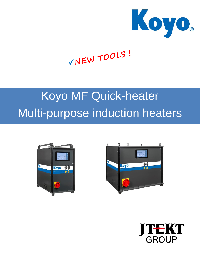

# VNEW TOOLS!

## Koyo MF Quick-heater Multi-purpose induction heaters





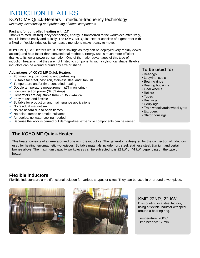## INDUCTION HEATERS

#### KOYO MF Quick-Heaters – medium-frequency technology

*Mounting, dismounting and preheating of metal components*

#### **Fast and/or controlled heating with ΔT**

Thanks to medium-frequency technology, energy is transferred to the workpiece effectively, so, it is heated easily and quickly. The KOYO MF Quick-Heater consists of a generator with a fixed or flexible inductor. Its compact dimensions make it easy to move.

KOYO MF Quick-Heaters result in time savings as they can be deployed very rapidly (fewer actions) and heat faster than conventional methods. Energy use is much more efficient thanks to its lower power consumption. One of the major advantages of this type of induction heater is that they are not limited to components with a cylindrical shape: flexible inductors can be wound around any size or shape.

#### **Advantages of KOYO MF Quick-Heaters**

- $\checkmark$  For mounting, dismounting and preheating
- $\checkmark$  Suitable for steel, cast iron, stainless steel and titanium
- $\checkmark$  Temperature and/or time-controlled heating
- $\checkmark$  Double temperature measurement ( $\Delta T$  monitoring)
- $\checkmark$  Low connection power (32/63 Amp)
- Generators are adjustable from 2.5 to 22/44 kW
- $\checkmark$  Easy to use and flexible
- $\checkmark$  Suitable for production and maintenance applications
- $\checkmark$  No residual magnetism
- $\checkmark$  No fire hazard due to open flames
- $\checkmark$  No noise, fumes or smoke nuisance
- $\checkmark$  Air-cooled: no water cooling needed
- $\checkmark$  Because the work is carried out damage-free, expensive components can be reused

#### **The KOYO MF Quick-Heater**

This heater consists of a generator and one or more inductors. The generator is designed for the connection of inductors used for heating ferromagnetic workpieces. Suitable materials include iron, steel, stainless steel, titanium and certain bronze alloys. The maximum capacity workpieces can be subjected to is 22 kW or 44 kW, depending on the type of heater.

#### **Flexible inductors**

Flexible inductors are a multifunctional solution for various shapes or sizes. They can be used in or around a workpiece.





KMF-22NR, 22 kW Dismounting in a steel factory, using a flexible inductor wrapped around a bearing ring.

Temperature: 200°C Time needed: 17 min.

#### **To be used for**

- Bearings
- Labyrinth seals
- Bearing rings
- Bearing housings
- Gear wheels
- Rollers
- Tubes
- Bushings
- Couplings
- Train wheels/train wheel tyres
- Extruders
- Stator housings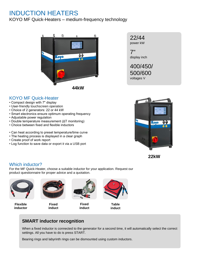### INDUCTION HEATERS

KOYO MF Quick-Heaters – medium-frequency technology





7" display inch

400/450/ 500/600 voltages V

#### KOYO MF Quick-Heater

- Compact design with 7" display
- User-friendly touchscreen operation
- Choice of 2 generators: 22 or 44 kW
- Smart electronics ensure optimum operating frequency
- Adjustable power regulation
- Double temperature measurement (ΔT monitoring)
- Choice between fixed and flexible inductors
- Can heat according to preset temperature/time curve
- The heating process is displayed in a clear graph
- Create proof of work report
- Log function to save data or export it via a USB port





#### Which inductor?

For the MF Quick-Heater, choose a suitable inductor for your application. Request our product questionnaire for proper advice and a quotation.



**Flexible inductor**



**Fixed induct**



**Fixed induct**



**Table induct**

#### **SMART inductor recognition**

When a fixed inductor is connected to the generator for a second time, it will automatically select the correct settings. All you have to do is press START.

Bearing rings and labyrinth rings can be dismounted using custom inductors.